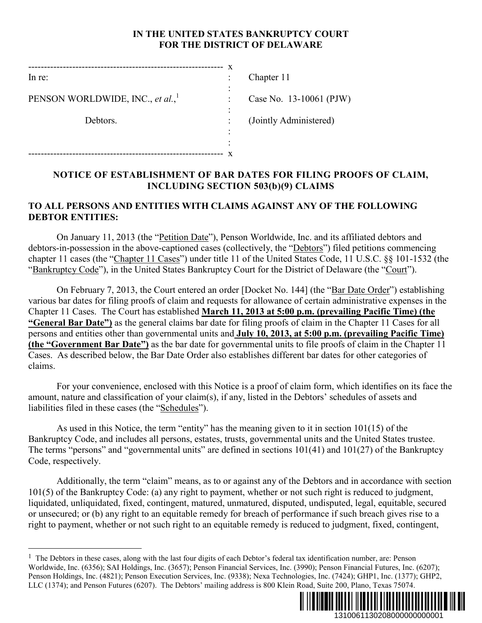## **IN THE UNITED STATES BANKRUPTCY COURT FOR THE DISTRICT OF DELAWARE**

|                                              | X |                         |
|----------------------------------------------|---|-------------------------|
| $ln re$ :                                    | ٠ | Chapter 11              |
| PENSON WORLDWIDE, INC., et al., <sup>1</sup> | ٠ | Case No. 13-10061 (PJW) |
| Debtors.                                     | ٠ | (Jointly Administered)  |
|                                              |   |                         |
|                                              |   |                         |
|                                              |   |                         |

# **NOTICE OF ESTABLISHMENT OF BAR DATES FOR FILING PROOFS OF CLAIM, INCLUDING SECTION 503(b)(9) CLAIMS**

#### **TO ALL PERSONS AND ENTITIES WITH CLAIMS AGAINST ANY OF THE FOLLOWING DEBTOR ENTITIES:**

On January 11, 2013 (the "Petition Date"), Penson Worldwide, Inc. and its affiliated debtors and debtors-in-possession in the above-captioned cases (collectively, the "Debtors") filed petitions commencing chapter 11 cases (the "Chapter 11 Cases") under title 11 of the United States Code, 11 U.S.C. §§ 101-1532 (the "Bankruptcy Code"), in the United States Bankruptcy Court for the District of Delaware (the "Court").

On February 7, 2013, the Court entered an order [Docket No. 144] (the "Bar Date Order") establishing various bar dates for filing proofs of claim and requests for allowance of certain administrative expenses in the Chapter 11 Cases. The Court has established **March 11, 2013 at 5:00 p.m. (prevailing Pacific Time) (the "General Bar Date")** as the general claims bar date for filing proofs of claim in the Chapter 11 Cases for all persons and entities other than governmental units and **July 10, 2013, at 5:00 p.m. (prevailing Pacific Time) (the "Government Bar Date")** as the bar date for governmental units to file proofs of claim in the Chapter 11 Cases. As described below, the Bar Date Order also establishes different bar dates for other categories of claims.

For your convenience, enclosed with this Notice is a proof of claim form, which identifies on its face the amount, nature and classification of your claim(s), if any, listed in the Debtors' schedules of assets and liabilities filed in these cases (the "Schedules").

As used in this Notice, the term "entity" has the meaning given to it in section 101(15) of the Bankruptcy Code, and includes all persons, estates, trusts, governmental units and the United States trustee. The terms "persons" and "governmental units" are defined in sections 101(41) and 101(27) of the Bankruptcy Code, respectively.

Additionally, the term "claim" means, as to or against any of the Debtors and in accordance with section 101(5) of the Bankruptcy Code: (a) any right to payment, whether or not such right is reduced to judgment, liquidated, unliquidated, fixed, contingent, matured, unmatured, disputed, undisputed, legal, equitable, secured or unsecured; or (b) any right to an equitable remedy for breach of performance if such breach gives rise to a right to payment, whether or not such right to an equitable remedy is reduced to judgment, fixed, contingent,

1



1310061130208000000000001

 $<sup>1</sup>$  The Debtors in these cases, along with the last four digits of each Debtor's federal tax identification number, are: Penson</sup> Worldwide, Inc. (6356); SAI Holdings, Inc. (3657); Penson Financial Services, Inc. (3990); Penson Financial Futures, Inc. (6207); Penson Holdings, Inc. (4821); Penson Execution Services, Inc. (9338); Nexa Technologies, Inc. (7424); GHP1, Inc. (1377); GHP2, LLC (1374); and Penson Futures (6207). The Debtors' mailing address is 800 Klein Road, Suite 200, Plano, Texas 75074.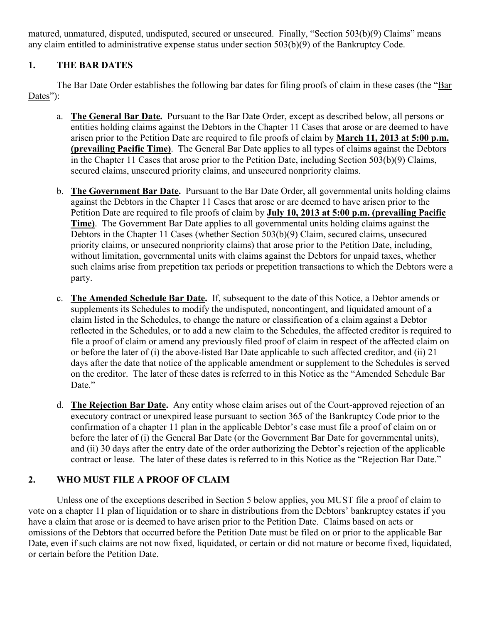matured, unmatured, disputed, undisputed, secured or unsecured. Finally, "Section 503(b)(9) Claims" means any claim entitled to administrative expense status under section 503(b)(9) of the Bankruptcy Code.

# **1. THE BAR DATES**

The Bar Date Order establishes the following bar dates for filing proofs of claim in these cases (the "Bar Dates"):

- a. **The General Bar Date.** Pursuant to the Bar Date Order, except as described below, all persons or entities holding claims against the Debtors in the Chapter 11 Cases that arose or are deemed to have arisen prior to the Petition Date are required to file proofs of claim by **March 11, 2013 at 5:00 p.m. (prevailing Pacific Time)**. The General Bar Date applies to all types of claims against the Debtors in the Chapter 11 Cases that arose prior to the Petition Date, including Section 503(b)(9) Claims, secured claims, unsecured priority claims, and unsecured nonpriority claims.
- b. **The Government Bar Date.** Pursuant to the Bar Date Order, all governmental units holding claims against the Debtors in the Chapter 11 Cases that arose or are deemed to have arisen prior to the Petition Date are required to file proofs of claim by **July 10, 2013 at 5:00 p.m. (prevailing Pacific Time)**. The Government Bar Date applies to all governmental units holding claims against the Debtors in the Chapter 11 Cases (whether Section 503(b)(9) Claim, secured claims, unsecured priority claims, or unsecured nonpriority claims) that arose prior to the Petition Date, including, without limitation, governmental units with claims against the Debtors for unpaid taxes, whether such claims arise from prepetition tax periods or prepetition transactions to which the Debtors were a party.
- c. **The Amended Schedule Bar Date.** If, subsequent to the date of this Notice, a Debtor amends or supplements its Schedules to modify the undisputed, noncontingent, and liquidated amount of a claim listed in the Schedules, to change the nature or classification of a claim against a Debtor reflected in the Schedules, or to add a new claim to the Schedules, the affected creditor is required to file a proof of claim or amend any previously filed proof of claim in respect of the affected claim on or before the later of (i) the above-listed Bar Date applicable to such affected creditor, and (ii) 21 days after the date that notice of the applicable amendment or supplement to the Schedules is served on the creditor. The later of these dates is referred to in this Notice as the "Amended Schedule Bar Date."
- d. **The Rejection Bar Date.** Any entity whose claim arises out of the Court-approved rejection of an executory contract or unexpired lease pursuant to section 365 of the Bankruptcy Code prior to the confirmation of a chapter 11 plan in the applicable Debtor's case must file a proof of claim on or before the later of (i) the General Bar Date (or the Government Bar Date for governmental units), and (ii) 30 days after the entry date of the order authorizing the Debtor's rejection of the applicable contract or lease. The later of these dates is referred to in this Notice as the "Rejection Bar Date."

# **2. WHO MUST FILE A PROOF OF CLAIM**

Unless one of the exceptions described in Section 5 below applies, you MUST file a proof of claim to vote on a chapter 11 plan of liquidation or to share in distributions from the Debtors' bankruptcy estates if you have a claim that arose or is deemed to have arisen prior to the Petition Date. Claims based on acts or omissions of the Debtors that occurred before the Petition Date must be filed on or prior to the applicable Bar Date, even if such claims are not now fixed, liquidated, or certain or did not mature or become fixed, liquidated, or certain before the Petition Date.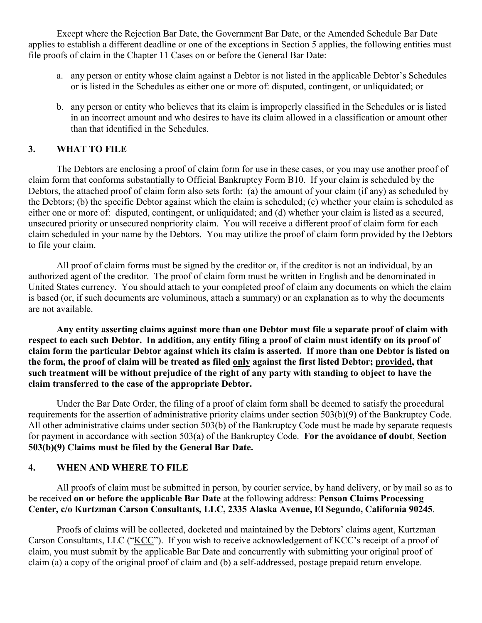Except where the Rejection Bar Date, the Government Bar Date, or the Amended Schedule Bar Date applies to establish a different deadline or one of the exceptions in Section 5 applies, the following entities must file proofs of claim in the Chapter 11 Cases on or before the General Bar Date:

- a. any person or entity whose claim against a Debtor is not listed in the applicable Debtor's Schedules or is listed in the Schedules as either one or more of: disputed, contingent, or unliquidated; or
- b. any person or entity who believes that its claim is improperly classified in the Schedules or is listed in an incorrect amount and who desires to have its claim allowed in a classification or amount other than that identified in the Schedules.

## **3. WHAT TO FILE**

The Debtors are enclosing a proof of claim form for use in these cases, or you may use another proof of claim form that conforms substantially to Official Bankruptcy Form B10. If your claim is scheduled by the Debtors, the attached proof of claim form also sets forth: (a) the amount of your claim (if any) as scheduled by the Debtors; (b) the specific Debtor against which the claim is scheduled; (c) whether your claim is scheduled as either one or more of: disputed, contingent, or unliquidated; and (d) whether your claim is listed as a secured, unsecured priority or unsecured nonpriority claim. You will receive a different proof of claim form for each claim scheduled in your name by the Debtors. You may utilize the proof of claim form provided by the Debtors to file your claim.

All proof of claim forms must be signed by the creditor or, if the creditor is not an individual, by an authorized agent of the creditor. The proof of claim form must be written in English and be denominated in United States currency. You should attach to your completed proof of claim any documents on which the claim is based (or, if such documents are voluminous, attach a summary) or an explanation as to why the documents are not available.

**Any entity asserting claims against more than one Debtor must file a separate proof of claim with respect to each such Debtor. In addition, any entity filing a proof of claim must identify on its proof of claim form the particular Debtor against which its claim is asserted. If more than one Debtor is listed on the form, the proof of claim will be treated as filed only against the first listed Debtor; provided, that such treatment will be without prejudice of the right of any party with standing to object to have the claim transferred to the case of the appropriate Debtor.** 

Under the Bar Date Order, the filing of a proof of claim form shall be deemed to satisfy the procedural requirements for the assertion of administrative priority claims under section 503(b)(9) of the Bankruptcy Code. All other administrative claims under section 503(b) of the Bankruptcy Code must be made by separate requests for payment in accordance with section 503(a) of the Bankruptcy Code. **For the avoidance of doubt**, **Section 503(b)(9) Claims must be filed by the General Bar Date.**

#### **4. WHEN AND WHERE TO FILE**

All proofs of claim must be submitted in person, by courier service, by hand delivery, or by mail so as to be received **on or before the applicable Bar Date** at the following address: **Penson Claims Processing Center, c/o Kurtzman Carson Consultants, LLC, 2335 Alaska Avenue, El Segundo, California 90245**.

Proofs of claims will be collected, docketed and maintained by the Debtors' claims agent, Kurtzman Carson Consultants, LLC ("KCC"). If you wish to receive acknowledgement of KCC's receipt of a proof of claim, you must submit by the applicable Bar Date and concurrently with submitting your original proof of claim (a) a copy of the original proof of claim and (b) a self-addressed, postage prepaid return envelope.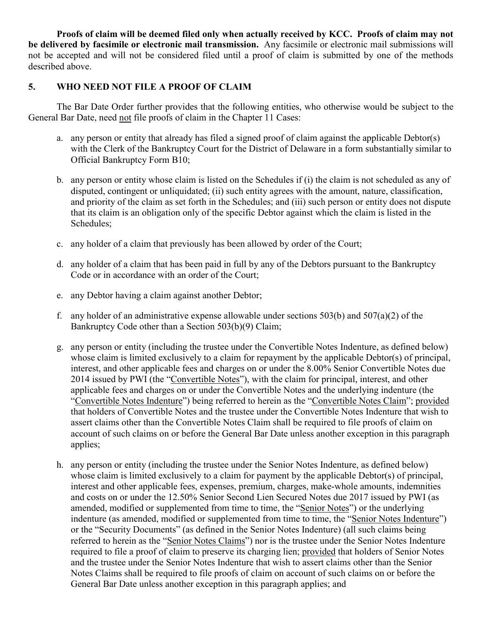**Proofs of claim will be deemed filed only when actually received by KCC. Proofs of claim may not be delivered by facsimile or electronic mail transmission.** Any facsimile or electronic mail submissions will not be accepted and will not be considered filed until a proof of claim is submitted by one of the methods described above.

## **5. WHO NEED NOT FILE A PROOF OF CLAIM**

The Bar Date Order further provides that the following entities, who otherwise would be subject to the General Bar Date, need not file proofs of claim in the Chapter 11 Cases:

- a. any person or entity that already has filed a signed proof of claim against the applicable Debtor(s) with the Clerk of the Bankruptcy Court for the District of Delaware in a form substantially similar to Official Bankruptcy Form B10;
- b. any person or entity whose claim is listed on the Schedules if (i) the claim is not scheduled as any of disputed, contingent or unliquidated; (ii) such entity agrees with the amount, nature, classification, and priority of the claim as set forth in the Schedules; and (iii) such person or entity does not dispute that its claim is an obligation only of the specific Debtor against which the claim is listed in the Schedules;
- c. any holder of a claim that previously has been allowed by order of the Court;
- d. any holder of a claim that has been paid in full by any of the Debtors pursuant to the Bankruptcy Code or in accordance with an order of the Court;
- e. any Debtor having a claim against another Debtor;
- f. any holder of an administrative expense allowable under sections  $503(b)$  and  $507(a)(2)$  of the Bankruptcy Code other than a Section 503(b)(9) Claim;
- g. any person or entity (including the trustee under the Convertible Notes Indenture, as defined below) whose claim is limited exclusively to a claim for repayment by the applicable Debtor(s) of principal, interest, and other applicable fees and charges on or under the 8.00% Senior Convertible Notes due 2014 issued by PWI (the "Convertible Notes"), with the claim for principal, interest, and other applicable fees and charges on or under the Convertible Notes and the underlying indenture (the "Convertible Notes Indenture") being referred to herein as the "Convertible Notes Claim"; provided that holders of Convertible Notes and the trustee under the Convertible Notes Indenture that wish to assert claims other than the Convertible Notes Claim shall be required to file proofs of claim on account of such claims on or before the General Bar Date unless another exception in this paragraph applies;
- h. any person or entity (including the trustee under the Senior Notes Indenture, as defined below) whose claim is limited exclusively to a claim for payment by the applicable Debtor(s) of principal, interest and other applicable fees, expenses, premium, charges, make-whole amounts, indemnities and costs on or under the 12.50% Senior Second Lien Secured Notes due 2017 issued by PWI (as amended, modified or supplemented from time to time, the "Senior Notes") or the underlying indenture (as amended, modified or supplemented from time to time, the "Senior Notes Indenture") or the "Security Documents" (as defined in the Senior Notes Indenture) (all such claims being referred to herein as the "Senior Notes Claims") nor is the trustee under the Senior Notes Indenture required to file a proof of claim to preserve its charging lien; provided that holders of Senior Notes and the trustee under the Senior Notes Indenture that wish to assert claims other than the Senior Notes Claims shall be required to file proofs of claim on account of such claims on or before the General Bar Date unless another exception in this paragraph applies; and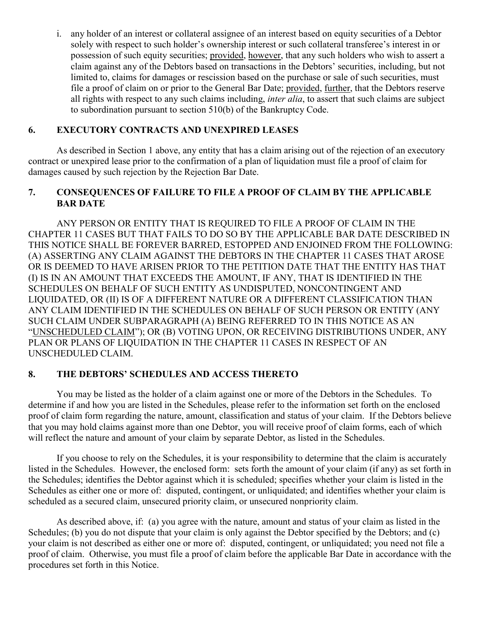i. any holder of an interest or collateral assignee of an interest based on equity securities of a Debtor solely with respect to such holder's ownership interest or such collateral transferee's interest in or possession of such equity securities; provided, however, that any such holders who wish to assert a claim against any of the Debtors based on transactions in the Debtors' securities, including, but not limited to, claims for damages or rescission based on the purchase or sale of such securities, must file a proof of claim on or prior to the General Bar Date; provided, further, that the Debtors reserve all rights with respect to any such claims including, *inter alia*, to assert that such claims are subject to subordination pursuant to section 510(b) of the Bankruptcy Code.

## **6. EXECUTORY CONTRACTS AND UNEXPIRED LEASES**

As described in Section 1 above, any entity that has a claim arising out of the rejection of an executory contract or unexpired lease prior to the confirmation of a plan of liquidation must file a proof of claim for damages caused by such rejection by the Rejection Bar Date.

## **7. CONSEQUENCES OF FAILURE TO FILE A PROOF OF CLAIM BY THE APPLICABLE BAR DATE**

ANY PERSON OR ENTITY THAT IS REQUIRED TO FILE A PROOF OF CLAIM IN THE CHAPTER 11 CASES BUT THAT FAILS TO DO SO BY THE APPLICABLE BAR DATE DESCRIBED IN THIS NOTICE SHALL BE FOREVER BARRED, ESTOPPED AND ENJOINED FROM THE FOLLOWING: (A) ASSERTING ANY CLAIM AGAINST THE DEBTORS IN THE CHAPTER 11 CASES THAT AROSE OR IS DEEMED TO HAVE ARISEN PRIOR TO THE PETITION DATE THAT THE ENTITY HAS THAT (I) IS IN AN AMOUNT THAT EXCEEDS THE AMOUNT, IF ANY, THAT IS IDENTIFIED IN THE SCHEDULES ON BEHALF OF SUCH ENTITY AS UNDISPUTED, NONCONTINGENT AND LIQUIDATED, OR (II) IS OF A DIFFERENT NATURE OR A DIFFERENT CLASSIFICATION THAN ANY CLAIM IDENTIFIED IN THE SCHEDULES ON BEHALF OF SUCH PERSON OR ENTITY (ANY SUCH CLAIM UNDER SUBPARAGRAPH (A) BEING REFERRED TO IN THIS NOTICE AS AN "UNSCHEDULED CLAIM"); OR (B) VOTING UPON, OR RECEIVING DISTRIBUTIONS UNDER, ANY PLAN OR PLANS OF LIQUIDATION IN THE CHAPTER 11 CASES IN RESPECT OF AN UNSCHEDULED CLAIM.

## **8. THE DEBTORS' SCHEDULES AND ACCESS THERETO**

You may be listed as the holder of a claim against one or more of the Debtors in the Schedules. To determine if and how you are listed in the Schedules, please refer to the information set forth on the enclosed proof of claim form regarding the nature, amount, classification and status of your claim. If the Debtors believe that you may hold claims against more than one Debtor, you will receive proof of claim forms, each of which will reflect the nature and amount of your claim by separate Debtor, as listed in the Schedules.

If you choose to rely on the Schedules, it is your responsibility to determine that the claim is accurately listed in the Schedules. However, the enclosed form: sets forth the amount of your claim (if any) as set forth in the Schedules; identifies the Debtor against which it is scheduled; specifies whether your claim is listed in the Schedules as either one or more of: disputed, contingent, or unliquidated; and identifies whether your claim is scheduled as a secured claim, unsecured priority claim, or unsecured nonpriority claim.

As described above, if: (a) you agree with the nature, amount and status of your claim as listed in the Schedules; (b) you do not dispute that your claim is only against the Debtor specified by the Debtors; and (c) your claim is not described as either one or more of: disputed, contingent, or unliquidated; you need not file a proof of claim. Otherwise, you must file a proof of claim before the applicable Bar Date in accordance with the procedures set forth in this Notice.